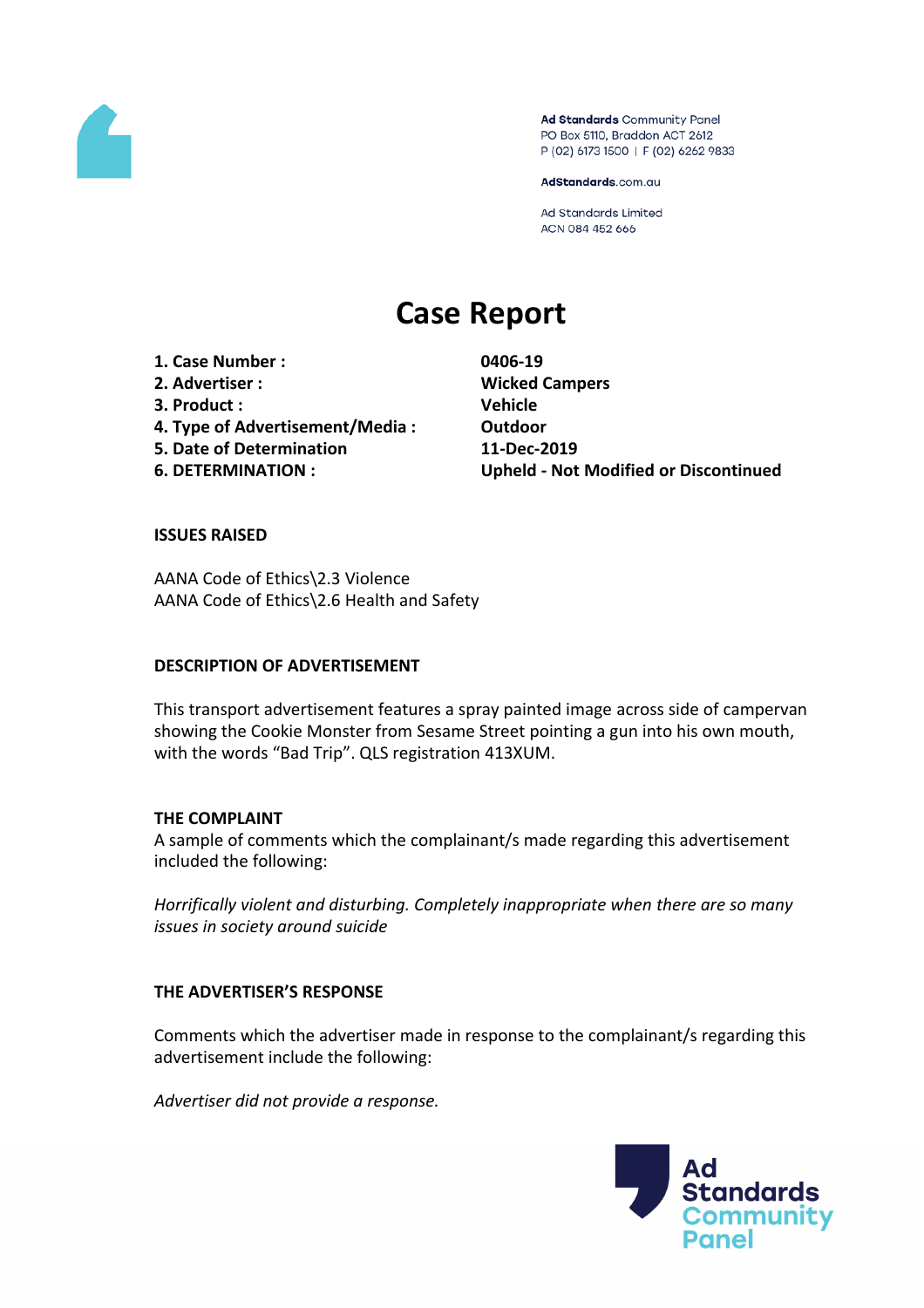

Ad Standards Community Panel PO Box 5110, Braddon ACT 2612 P (02) 6173 1500 | F (02) 6262 9833

AdStandards.com.au

Ad Standards Limited ACN 084 452 666

# **Case Report**

**1. Case Number : 0406-19 2. Advertiser : Wicked Campers 3. Product : Vehicle 4. Type of Advertisement/Media : Outdoor 5. Date of Determination 11-Dec-2019**

**6. DETERMINATION : Upheld - Not Modified or Discontinued**

### **ISSUES RAISED**

AANA Code of Ethics\2.3 Violence AANA Code of Ethics\2.6 Health and Safety

#### **DESCRIPTION OF ADVERTISEMENT**

This transport advertisement features a spray painted image across side of campervan showing the Cookie Monster from Sesame Street pointing a gun into his own mouth, with the words "Bad Trip". QLS registration 413XUM.

## **THE COMPLAINT**

A sample of comments which the complainant/s made regarding this advertisement included the following:

*Horrifically violent and disturbing. Completely inappropriate when there are so many issues in society around suicide*

## **THE ADVERTISER'S RESPONSE**

Comments which the advertiser made in response to the complainant/s regarding this advertisement include the following:

*Advertiser did not provide a response.*

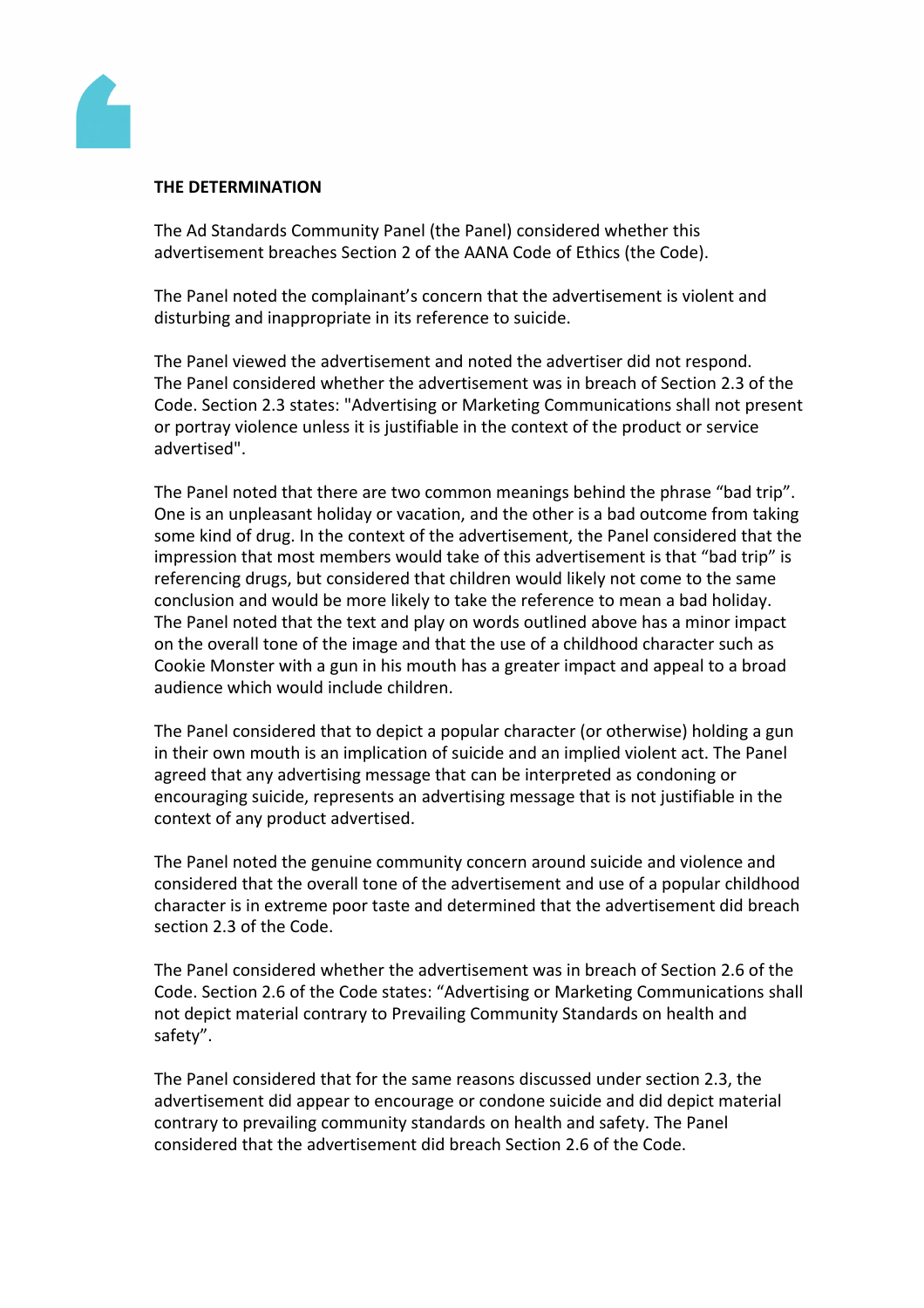

### **THE DETERMINATION**

The Ad Standards Community Panel (the Panel) considered whether this advertisement breaches Section 2 of the AANA Code of Ethics (the Code).

The Panel noted the complainant's concern that the advertisement is violent and disturbing and inappropriate in its reference to suicide.

The Panel viewed the advertisement and noted the advertiser did not respond. The Panel considered whether the advertisement was in breach of Section 2.3 of the Code. Section 2.3 states: "Advertising or Marketing Communications shall not present or portray violence unless it is justifiable in the context of the product or service advertised".

The Panel noted that there are two common meanings behind the phrase "bad trip". One is an unpleasant holiday or vacation, and the other is a bad outcome from taking some kind of drug. In the context of the advertisement, the Panel considered that the impression that most members would take of this advertisement is that "bad trip" is referencing drugs, but considered that children would likely not come to the same conclusion and would be more likely to take the reference to mean a bad holiday. The Panel noted that the text and play on words outlined above has a minor impact on the overall tone of the image and that the use of a childhood character such as Cookie Monster with a gun in his mouth has a greater impact and appeal to a broad audience which would include children.

The Panel considered that to depict a popular character (or otherwise) holding a gun in their own mouth is an implication of suicide and an implied violent act. The Panel agreed that any advertising message that can be interpreted as condoning or encouraging suicide, represents an advertising message that is not justifiable in the context of any product advertised.

The Panel noted the genuine community concern around suicide and violence and considered that the overall tone of the advertisement and use of a popular childhood character is in extreme poor taste and determined that the advertisement did breach section 2.3 of the Code.

The Panel considered whether the advertisement was in breach of Section 2.6 of the Code. Section 2.6 of the Code states: "Advertising or Marketing Communications shall not depict material contrary to Prevailing Community Standards on health and safety".

The Panel considered that for the same reasons discussed under section 2.3, the advertisement did appear to encourage or condone suicide and did depict material contrary to prevailing community standards on health and safety. The Panel considered that the advertisement did breach Section 2.6 of the Code.